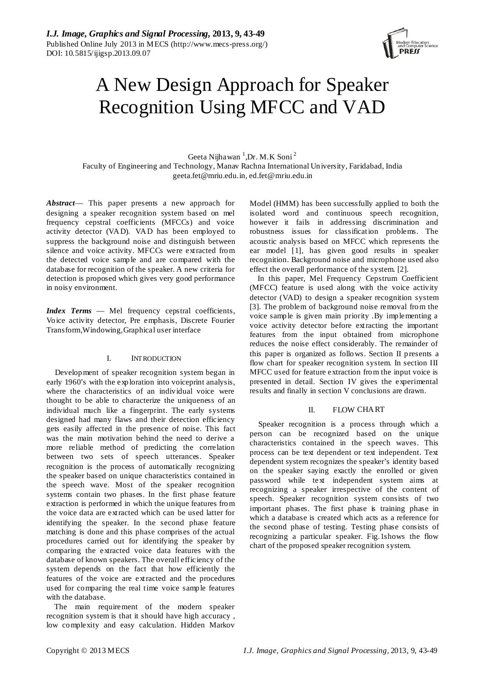

# A New Design Approach for Speaker Recognition Using MFCC and VAD

Geeta Nijhawan <sup>1</sup>,Dr. M.K Soni<sup>2</sup> Faculty of Engineering and Technology, Manav Rachna International University, Faridabad, India geeta.fet@mriu.edu.in, ed.fet@mriu.edu.in

*Abstract*— This paper presents a new approach for designing a speaker recognition system based on mel frequency cepstral coefficients (MFCCs) and voice activity detector (VAD). VAD has been employed to suppress the background noise and distinguish between silence and voice activity. MFCCs were extracted from the detected voice sample and are compared with the database for recognition of the speaker. A new criteria for detection is proposed which gives very good performance in noisy environment.

*Index Terms* — Mel frequency cepstral coefficients, Voice activity detector, Pre emphasis, Discrete Fourier Transform,Windowing,Graphical user interface

# I. INTRODUCTION

Development of speaker recognition system began in early 1960's with the exploration into voiceprint analysis, where the characteristics of an individual voice were thought to be able to characterize the uniqueness of an individual much like a fingerprint. The early systems designed had many flaws and their detection efficiency gets easily affected in the presence of noise. This fact was the main motivation behind the need to derive a more reliable method of predicting the correlation between two sets of speech utterances. Speaker recognition is the process of automatically recognizing the speaker based on unique characteristics contained in the speech wave. Most of the speaker recognition systems contain two phases. In the first phase feature extraction is performed in which the unique features from the voice data are extracted which can be used latter for identifying the speaker. In the second phase feature matching is done and this phase comprises of the actual procedures carried out for identifying the speaker by comparing the extracted voice data features with the database of known speakers. The overall efficiency of the system depends on the fact that how efficiently the features of the voice are extracted and the procedures used for comparing the real time voice sample features with the database.

The main requirement of the modern speaker recognition system is that it should have high accuracy , low complexity and easy calculation. Hidden Markov

Model (HMM) has been successfully applied to both the isolated word and continuous speech recognition, however it fails in addressing discrimination and robustness issues for classification problems. The acoustic analysis based on MFCC which represents the ear model [1], has given good results in speaker recognition. Background noise and microphone used also effect the overall performance of the system. [2].

In this paper, Mel Frequency Cepstrum Coefficient (MFCC) feature is used along with the voice activity detector (VAD) to design a speaker recognition system [3]. The problem of background noise removal from the voice sample is given main priority .By implementing a voice activity detector before extracting the important features from the input obtained from microphone reduces the noise effect considerably. The remainder of this paper is organized as follows. Section II presents a flow chart for speaker recognition system. In section III MFCC used for feature extraction from the input voice is presented in detail. Section IV gives the experimental results and finally in section V conclusions are drawn.

## II. FLOW CHART

Speaker recognition is a process through which a person can be recognized based on the unique characteristics contained in the speech waves. This process can be text dependent or text independent. Text dependent system recognizes the speaker's identity based on the speaker saying exactly the enrolled or given password while text independent system aims at recognizing a speaker irrespective of the content of speech. Speaker recognition system consists of two important phases. The first phase is training phase in which a database is created which acts as a reference for the second phase of testing. Testing phase consists of recognizing a particular speaker. Fig.1shows the flow chart of the proposed speaker recognition system.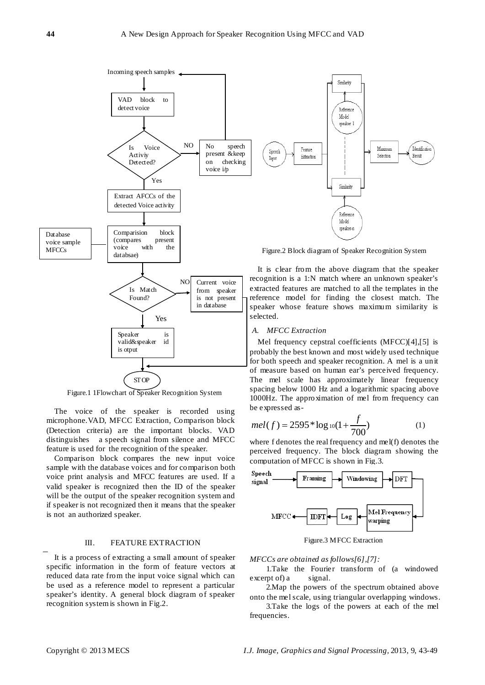

Figure.1 1Flowchart of Speaker Recognition System

The voice of the speaker is recorded using microphone.VAD, MFCC Extraction, Comparison block (Detection criteria) are the important blocks. VAD distinguishes a speech signal from silence and MFCC feature is used for the recognition of the speaker.

Comparison block compares the new input voice sample with the database voices and for comparison both voice print analysis and MFCC features are used. If a valid speaker is recognized then the ID of the speaker will be the output of the speaker recognition system and if speaker is not recognized then it means that the speaker is not an authorized speaker.

## III. FEATURE EXTRACTION

It is a process of extracting a small amount of speaker specific information in the form of feature vectors at reduced data rate from the input voice signal which can be used as a reference model to represent a particular speaker's identity. A general block diagram of speaker recognition system is shown in Fig.2.



Figure.2 Block diagram of Speaker Recognition System

It is clear from the above diagram that the speaker recognition is a 1:N match where an unknown speaker's extracted features are matched to all the templates in the reference model for finding the closest match. The speaker whose feature shows maximum similarity is

#### *A. MFCC Extraction*

Mel frequency cepstral coefficients (MFCC)[4],[5] is probably the best known and most widely used technique for both speech and speaker recognition. A mel is a unit of measure based on human ear's perceived frequency. The mel scale has approximately linear frequency spacing below 1000 Hz and a logarithmic spacing above 1000Hz. The approximation of mel from frequency can be expressed as-

$$
mel(f) = 2595 * log_{10}(1 + \frac{f}{700})
$$
 (1)

where f denotes the real frequency and mel(f) denotes the perceived frequency. The block diagram showing the computation of MFCC is shown in Fig.3.



*MFCCs are obtained as follows[6],[7]:*

1.Take the [Fourier transform](http://en.wikipedia.org/wiki/Fourier_transform) of (a windowed excerpt of) a signal.

2.Map the powers of the spectrum obtained above onto th[e mel scale,](http://en.wikipedia.org/wiki/Mel_scale) using [triangular overlapping windows.](http://en.wikipedia.org/wiki/Window_function#Triangular_window)

3.Take the [logs](http://en.wikipedia.org/wiki/Logarithm) of the powers at each of the mel frequencies.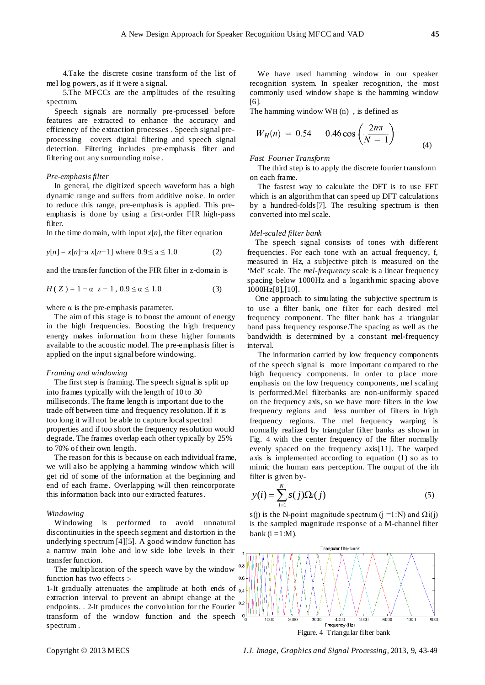4.Take the [discrete cosine transform](http://en.wikipedia.org/wiki/Discrete_cosine_transform) of the list of mel log powers, as if it were a signal.

5.The MFCCs are the amplitudes of the resulting spectrum.

Speech signals are normally pre-processed before features are extracted to enhance the accuracy and efficiency of the extraction processes . Speech signal preprocessing covers digital filtering and speech signal detection. Filtering includes pre-emphasis filter and filtering out any surrounding noise .

### *Pre-emphasis filter*

In general, the digitized speech waveform has a high dynamic range and suffers from additive noise. In order to reduce this range, pre-emphasis is applied. This preemphasis is done by using a first-order FIR high-pass filter.

In the time domain, with input  $x[n]$ , the filter equation

$$
y[n] = x[n] - a x[n-1] \text{ where } 0.9 \le a \le 1.0 \tag{2}
$$

and the transfer function of the FIR filter in z-domain is

$$
H(Z) = 1 - \alpha z - 1, 0.9 \le \alpha \le 1.0 \tag{3}
$$

where  $\alpha$  is the pre-emphasis parameter.

The aim of this stage is to boost the amount of energy in the high frequencies. Boosting the high frequency energy makes information from these higher formants available to the acoustic model. The pre-emphasis filter is applied on the input signal before windowing.

#### *Framing and windowing*

The first step is framing. The speech signal is split up into frames typically with the length of 10 to 30 milliseconds. The frame length is important due to the trade off between time and frequency resolution. If it is too long it will not be able to capture local spectral properties and if too short the frequency resolution would degrade. The frames overlap each other typically by 25% to 70% of their own length.

The reason for this is because on each individual frame, we will also be applying a hamming window which will get rid of some of the information at the beginning and end of each frame. Overlapping will then reincorporate this information back into our extracted features.

## *Windowing*

Windowing is performed to avoid unnatural discontinuities in the speech segment and distortion in the underlying spectrum [4][5]. A good window function has a narrow main lobe and low side lobe levels in their transfer function.

The multiplication of the speech wave by the window function has two effects :-

1-It gradually attenuates the amplitude at both ends of  $_{0.4}$ extraction interval to prevent an abrupt change at the endpoints. . 2-It produces the convolution for the Fourier transform of the window function and the speech spectrum .

We have used hamming window in our speaker recognition system. In speaker recognition, the most commonly used window shape is the hamming window [6].

The hamming window WH (n) , is defined as

$$
W_H(n) = 0.54 - 0.46 \cos\left(\frac{2n\pi}{N-1}\right)
$$
 (4)

## *Fast Fourier Transform*

The third step is to apply the discrete fourier transform on each frame.

The fastest way to calculate the DFT is to use FFT which is an algorithm that can speed up DFT calculations by a hundred-folds[7]. The resulting spectrum is then converted into mel scale.

#### *Mel-scaled filter bank*

The speech signal consists of tones with different frequencies. For each tone with an actual frequency, f, measured in Hz, a subjective pitch is measured on the 'Mel' scale. The *mel-frequency* scale is a linear frequency spacing below 1000Hz and a logarithmic spacing above 1000Hz[8],[10].

One approach to simulating the subjective spectrum is to use a filter bank, one filter for each desired mel frequency component. The filter bank has a triangular band pass frequency response.The spacing as well as the bandwidth is determined by a constant mel-frequency interval.

The information carried by low frequency components of the speech signal is more important compared to the high frequency components. In order to place more emphasis on the low frequency components, mel scaling is performed.Mel filterbanks are non-uniformly spaced on the frequency axis, so we have more filters in the low frequency regions and less number of filters in high frequency regions. The mel frequency warping is normally realized by triangular filter banks as shown in Fig. 4 with the center frequency of the filter normally evenly spaced on the frequency axis[11]. The warped axis is implemented according to equation (1) so as to mimic the human ears perception. The output of the ith filter is given by-

$$
y(i) = \sum_{j=1}^{N} s(j)\Omega_i(j) \tag{5}
$$

s(j) is the N-point magnitude spectrum (j =1:N) and  $\Omega$ i(j) is the sampled magnitude response of a M-channel filter bank  $(i = 1:M)$ .

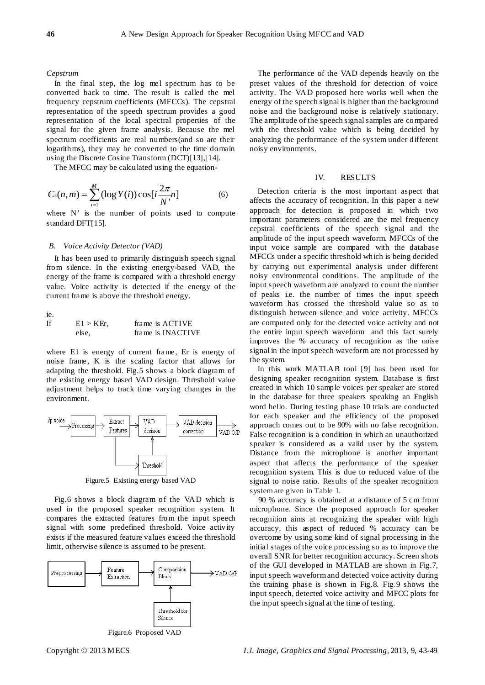#### *Cepstrum*

In the final step, the log mel spectrum has to be converted back to time. The result is called the mel frequency cepstrum coefficients (MFCCs). The cepstral representation of the speech spectrum provides a good representation of the local spectral properties of the signal for the given frame analysis. Because the mel spectrum coefficients are real numbers(and so are their logarithms), they may be converted to the time domain using the Discrete Cosine Transform (DCT)[13],[14].

The MFCC may be calculated using the equation-

$$
C_s(n,m) = \sum_{i=1}^{M} (\log Y(i)) \cos[i\frac{2\pi}{N'}n]
$$
 (6)

where N' is the number of points used to compute standard DFT[15].

#### *B. Voice Activity Detector (VAD)*

It has been used to primarily distinguish speech signal from silence. In the existing energy-based VAD, the energy of the frame is compared with a threshold energy value. Voice activity is detected if the energy of the current frame is above the threshold energy.

ie.

| If | $E1 > KEr$ . | frame is ACTIVE   |
|----|--------------|-------------------|
|    | else.        | frame is INACTIVE |

where E1 is energy of current frame, Er is energy of noise frame, K is the scaling factor that allows for adapting the threshold. Fig.5 shows a block diagram of the existing energy based VAD design. Threshold value adjustment helps to track time varying changes in the environment.



Figure.5 Existing energy based VAD

Fig.6 shows a block diagram of the VAD which is used in the proposed speaker recognition system. It compares the extracted features from the input speech signal with some predefined threshold. Voice activity exists if the measured feature values exceed the threshold limit, otherwise silence is assumed to be present.



Figure.6 Proposed VAD

The performance of the VAD depends heavily on the preset values of the threshold for detection of voice activity. The VAD proposed here works well when the energy of the speech signal is higher than the background noise and the background noise is relatively stationary. The amplitude of the speech signal samples are compared with the threshold value which is being decided by analyzing the performance of the system under different noisy environments.

## IV. RESULTS

Detection criteria is the most important aspect that affects the accuracy of recognition. In this paper a new approach for detection is proposed in which two important parameters considered are the mel frequency cepstral coefficients of the speech signal and the amplitude of the input speech waveform. MFCCs of the input voice sample are compared with the database MFCCs under a specific threshold which is being decided by carrying out experimental analysis under different noisy environmental conditions. The amplitude of the input speech waveform are analyzed to count the number of peaks i.e. the number of times the input speech waveform has crossed the threshold value so as to distinguish between silence and voice activity. MFCCs are computed only for the detected voice activity and not the entire input speech waveform and this fact surely improves the % accuracy of recognition as the noise signal in the input speech waveform are not processed by the system.

In this work MATLAB tool [9] has been used for designing speaker recognition system. Database is first created in which 10 sample voices per speaker are stored in the database for three speakers speaking an English word hello. During testing phase 10 trials are conducted for each speaker and the efficiency of the proposed approach comes out to be 90% with no false recognition. False recognition is a condition in which an unauthorized speaker is considered as a valid user by the system. Distance from the microphone is another important aspect that affects the performance of the speaker recognition system. This is due to reduced value of the signal to noise ratio. Results of the speaker recognition system are given in Table 1.

90 % accuracy is obtained at a distance of 5 cm from microphone. Since the proposed approach for speaker recognition aims at recognizing the speaker with high accuracy, this aspect of reduced % accuracy can be overcome by using some kind of signal processing in the initial stages of the voice processing so as to improve the overall SNR for better recognition accuracy. Screen shots of the GUI developed in MATLAB are shown in Fig.7, input speech waveform and detected voice activity during the training phase is shown in Fig.8. Fig.9 shows the input speech, detected voice activity and MFCC plots for the input speech signal at the time of testing.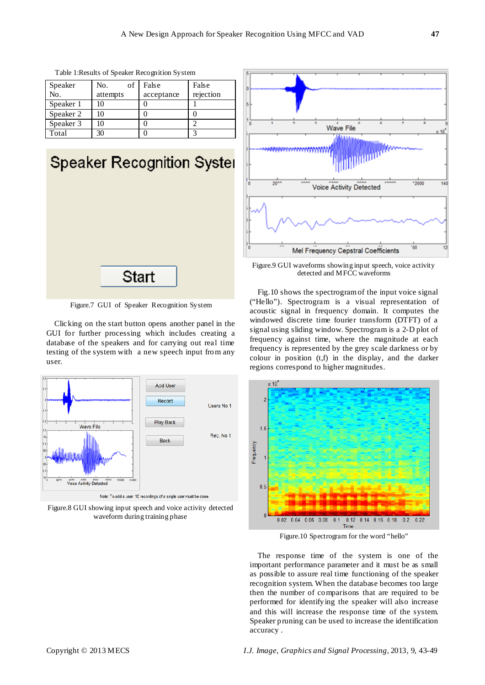| Speaker   | of<br>No. | False      | False     |
|-----------|-----------|------------|-----------|
| No.       | attempts  | acceptance | rejection |
| Speaker 1 | 10        |            |           |
| Speaker 2 | 10        |            |           |
| Speaker 3 | 10        |            |           |
| Total     | 30        |            |           |

Table 1:Results of Speaker Recognition System



Figure.7 GUI of Speaker Recognition System

Clicking on the start button opens another panel in the GUI for further processing which includes creating a database of the speakers and for carrying out real time testing of the system with a new speech input from any user.



Figure.8 GUI showing input speech and voice activity detected waveform during training phase



Figure.9 GUI waveforms showing input speech, voice activity detected and MFCC waveforms

Fig.10 shows the spectrogram of the input voice signal ("Hello"). Spectrogram is a visual representation of acoustic signal in frequency domain. It computes the windowed discrete time fourier transform (DTFT) of a signal using sliding window. Spectrogram is a 2-D plot of frequency against time, where the magnitude at each frequency is represented by the grey scale darkness or by colour in position (t,f) in the display, and the darker regions correspond to higher magnitudes.



Figure.10 Spectrogram for the word "hello"

The response time of the system is one of the important performance parameter and it must be as small as possible to assure real time functioning of the speaker recognition system. When the database becomes too large then the number of comparisons that are required to be performed for identifying the speaker will also increase and this will increase the response time of the system. Speaker pruning can be used to increase the identification accuracy .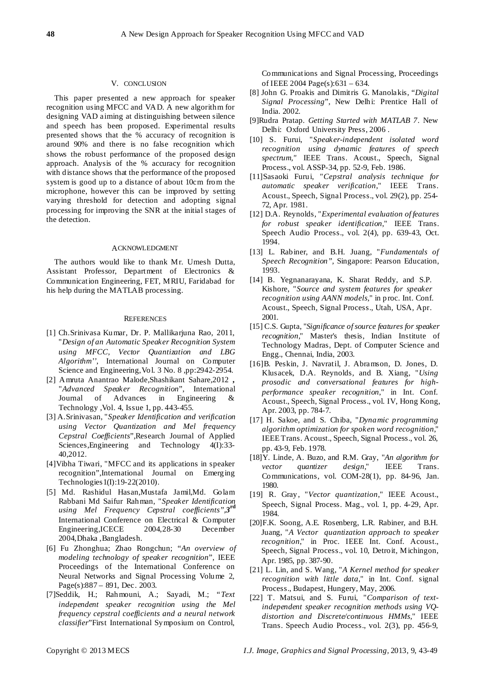## V. CONCLUSION

This paper presented a new approach for speaker recognition using MFCC and VAD. A new algorithm for designing VAD aiming at distinguishing between silence and speech has been proposed. Experimental results presented shows that the % accuracy of recognition is around 90% and there is no false recognition which shows the robust performance of the proposed design approach. Analysis of the % accuracy for recognition with distance shows that the performance of the proposed system is good up to a distance of about 10cm from the microphone, however this can be improved by setting varying threshold for detection and adopting signal processing for improving the SNR at the initial stages of the detection.

#### ACKNOWLEDGMENT

The authors would like to thank Mr. Umesh Dutta, Assistant Professor, Department of Electronics & Communication Engineering, FET, MRIU, Faridabad for his help during the MATLAB processing.

#### **REFERENCES**

- [1] Ch.Srinivasa Kumar, Dr. P. Mallikarjuna Rao, 2011, "*Design of an Automatic Speaker Recognition System using MFCC, Vector Quantization and LBG Algorithm''*, International Journal on Computer Science and Engineering,Vol. 3 No. 8 ,pp:2942-2954.
- [2] Amruta Anantrao Malode,Shashikant Sahare,2012 **,** "*Advanced Speaker Recognition*", International Journal of Advances in Engineering & Technology ,Vol. 4, Issue 1, pp. 443-455.
- [3] A.Srinivasan, "*Speaker Identification and verification using Vector Quantization and Mel frequency Cepstral Coefficients*",Research Journal of Applied Sciences, Engineering and Technology 4(I):33-40,2012.
- [4]Vibha Tiwari, "MFCC and its applications in speaker recognition",International Journal on Emerging Technologies1(I):19-22(2010).
- [5] Md. Rashidul Hasan,Mustafa Jamil,Md. Golam Rabbani Md Saifur Rahman, "*Speaker Identification using Mel Frequency Cepstral coefficients",3***rd** International Conference on Electrical & Computer Engineering,ICECE 2004,28-30 December 2004,Dhaka ,Bangladesh.
- [6] Fu Zhonghua; Zhao Rongchun; "*An overview of modeling technology of speaker recognition*", IEEE Proceedings of the International Conference on Neural Networks and Signal Processing Volume 2, Page(s):887 – 891, Dec. 2003.
- [7]Seddik, H.; Rahmouni, A.; Sayadi, M.; "*Text independent speaker recognition using the Mel frequency cepstral coefficients and a neural network classifier*"First International Symposium on Control,

Communications and Signal Processing, Proceedings of IEEE 2004 Page(s):631 – 634.

- [8] John G. Proakis and Dimitris G. Manolakis, "*Digital Signal Processing*", New Delhi: Prentice Hall of India. 2002.
- [9]Rudra Pratap. *Getting Started with MATLAB 7*. New Delhi: Oxford University Press, 2006 .
- [10] S. Furui, "*Speaker-independent isolated word recognition using dynamic features of speech spectrum,"* IEEE Trans. Acoust., Speech, Signal Process., vol. ASSP-34, pp. 52-9, Feb. 1986.
- [11]Sasaoki Furui, "*Cepstral analysis technique for automatic speaker verification*," IEEE Trans. Acoust., Speech, Signal Process., vol. 29(2), pp. 254- 72, Apr. 1981.
- [12] D.A. Reynolds, "*Experimental evaluation of features for robust speaker identification*," IEEE Trans. Speech Audio Process., vol. 2(4), pp. 639-43, Oct. 1994.
- [13] L. Rabiner, and B.H. Juang, "*Fundamentals of Speech Recognition",* Singapore: Pearson Education, 1993.
- [14] B. Yegnanarayana, K. Sharat Reddy, and S.P. Kishore, "*Source and system features for speaker recognition using AANN models,*" in proc. Int. Conf. Acoust., Speech, Signal Process., Utah, USA, Apr. 2001.
- [15] C.S. Gupta, "*Significance of source features for speaker recognition*," Master's thesis, Indian Institute of Technology Madras, Dept. of Computer Science and Engg., Chennai, India, 2003.
- [16]B. Peskin, J. Navratil, J. Abramson, D. Jones, D. Klusacek, D.A. Reynolds, and B. Xiang, "*Using prosodic and conversational features for highperformance speaker recognition*," in Int. Conf. Acoust., Speech, Signal Process., vol. IV, Hong Kong, Apr. 2003, pp. 784-7.
- [17] H. Sakoe, and S. Chiba, "*Dynamic programming algorithm optimization for spoken word recognition*," IEEE Trans. Acoust., Speech, Signal Process., vol. 26, pp. 43-9, Feb. 1978.
- [18]Y. Linde, A. Buzo, and R.M. Gray, "*An algorithm for vector quantizer design*," IEEE Trans. Communications, vol. COM-28(1), pp. 84-96, Jan. 1980.
- [19] R. Gray, "*Vector quantization*," IEEE Acoust., Speech, Signal Process. Mag., vol. 1, pp. 4-29, Apr. 1984.
- [20]F.K. Soong, A.E. Rosenberg, L.R. Rabiner, and B.H. Juang, "*A Vector quantization approach to speaker recognition*," in Proc. IEEE Int. Conf. Acoust., Speech, Signal Process., vol. 10, Detroit, Michingon, Apr. 1985, pp. 387-90.
- [21] L. Lin, and S. Wang, "*A Kernel method for speaker recognition with little data*," in Int. Conf. signal Process., Budapest, Hungery, May, 2006.
- [22] T. Matsui, and S. Furui, "*Comparison of textindependent speaker recognition methods using VQdistortion and Discrete/continuous HMMs,*" IEEE Trans. Speech Audio Process., vol. 2(3), pp. 456-9,